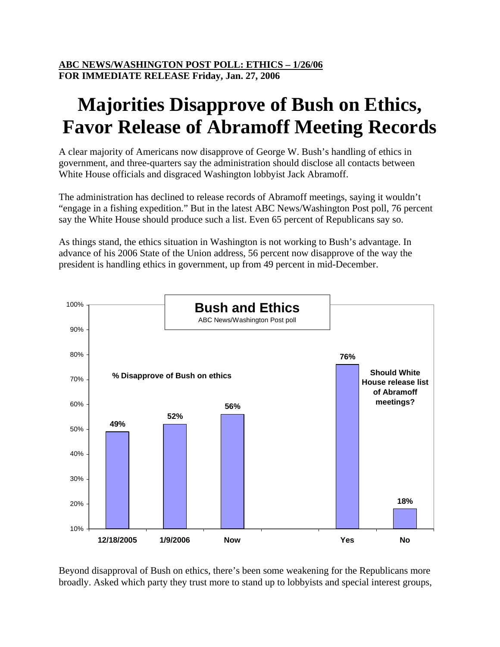## **Majorities Disapprove of Bush on Ethics, Favor Release of Abramoff Meeting Records**

A clear majority of Americans now disapprove of George W. Bush's handling of ethics in government, and three-quarters say the administration should disclose all contacts between White House officials and disgraced Washington lobbyist Jack Abramoff.

The administration has declined to release records of Abramoff meetings, saying it wouldn't "engage in a fishing expedition." But in the latest ABC News/Washington Post poll, 76 percent say the White House should produce such a list. Even 65 percent of Republicans say so.

As things stand, the ethics situation in Washington is not working to Bush's advantage. In advance of his 2006 State of the Union address, 56 percent now disapprove of the way the president is handling ethics in government, up from 49 percent in mid-December.



Beyond disapproval of Bush on ethics, there's been some weakening for the Republicans more broadly. Asked which party they trust more to stand up to lobbyists and special interest groups,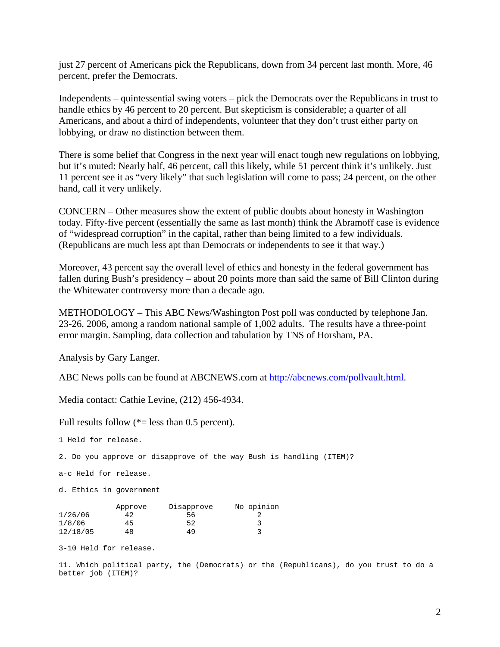just 27 percent of Americans pick the Republicans, down from 34 percent last month. More, 46 percent, prefer the Democrats.

Independents – quintessential swing voters – pick the Democrats over the Republicans in trust to handle ethics by 46 percent to 20 percent. But skepticism is considerable; a quarter of all Americans, and about a third of independents, volunteer that they don't trust either party on lobbying, or draw no distinction between them.

There is some belief that Congress in the next year will enact tough new regulations on lobbying, but it's muted: Nearly half, 46 percent, call this likely, while 51 percent think it's unlikely. Just 11 percent see it as "very likely" that such legislation will come to pass; 24 percent, on the other hand, call it very unlikely.

CONCERN – Other measures show the extent of public doubts about honesty in Washington today. Fifty-five percent (essentially the same as last month) think the Abramoff case is evidence of "widespread corruption" in the capital, rather than being limited to a few individuals. (Republicans are much less apt than Democrats or independents to see it that way.)

Moreover, 43 percent say the overall level of ethics and honesty in the federal government has fallen during Bush's presidency – about 20 points more than said the same of Bill Clinton during the Whitewater controversy more than a decade ago.

METHODOLOGY – This ABC News/Washington Post poll was conducted by telephone Jan. 23-26, 2006, among a random national sample of 1,002 adults. The results have a three-point error margin. Sampling, data collection and tabulation by TNS of Horsham, PA.

Analysis by Gary Langer.

ABC News polls can be found at ABCNEWS.com at [http://abcnews.com/pollvault.html.](http://abcnews.com/pollvault.html)

Media contact: Cathie Levine, (212) 456-4934.

Full results follow  $(*=$  less than 0.5 percent).

1 Held for release.

2. Do you approve or disapprove of the way Bush is handling (ITEM)?

a-c Held for release.

d. Ethics in government

|          | Approve | Disapprove | No opinion |
|----------|---------|------------|------------|
| 1/26/06  | 42      | 56         |            |
| 1/8/06   | 45      | 52         |            |
| 12/18/05 | 48      | 49         |            |

3-10 Held for release.

11. Which political party, the (Democrats) or the (Republicans), do you trust to do a better job (ITEM)?